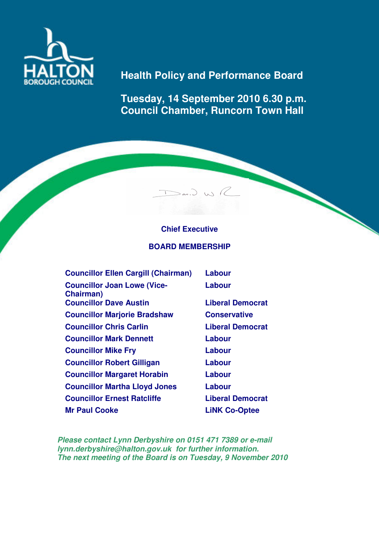

# **Health Policy and Performance Board**

**Tuesday, 14 September 2010 6.30 p.m. Council Chamber, Runcorn Town Hall** 

# **Chief Executive**

 $\sum_{\alpha}$ 

## **BOARD MEMBERSHIP**

| <b>Councillor Ellen Cargill (Chairman)</b>              | Labour                  |
|---------------------------------------------------------|-------------------------|
| <b>Councillor Joan Lowe (Vice-</b><br><b>Chairman</b> ) | Labour                  |
| <b>Councillor Dave Austin</b>                           | <b>Liberal Democrat</b> |
| <b>Councillor Marjorie Bradshaw</b>                     | <b>Conservative</b>     |
| <b>Councillor Chris Carlin</b>                          | <b>Liberal Democrat</b> |
| <b>Councillor Mark Dennett</b>                          | Labour                  |
| <b>Councillor Mike Fry</b>                              | Labour                  |
| <b>Councillor Robert Gilligan</b>                       | Labour                  |
| <b>Councillor Margaret Horabin</b>                      | Labour                  |
| <b>Councillor Martha Lloyd Jones</b>                    | Labour                  |
| <b>Councillor Ernest Ratcliffe</b>                      | <b>Liberal Democrat</b> |
| <b>Mr Paul Cooke</b>                                    | <b>LiNK Co-Optee</b>    |

**Please contact Lynn Derbyshire on 0151 471 7389 or e-mail lynn.derbyshire@halton.gov.uk for further information. The next meeting of the Board is on Tuesday, 9 November 2010**